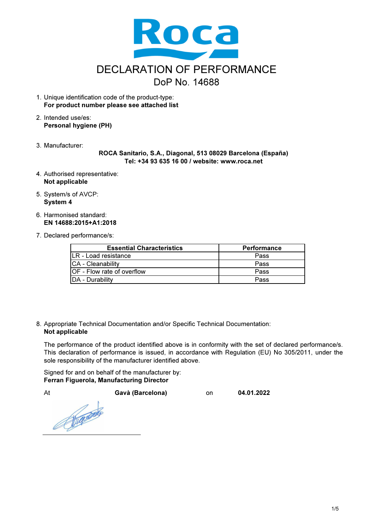

- 1. Unique identification code of the product-type: For product number please see attached list
- 2. Intended use/es: Personal hygiene (PH)
- 3. Manufacturer:

ROCA Sanitario, S.A., Diagonal, 513 08029 Barcelona (España) Tel: +34 93 635 16 00 / website: www.roca.net

- 4. Authorised representative: Not applicable
- 5. System/s of AVCP: System 4
- 6. Harmonised standard: EN 14688:2015+A1:2018
- 7. Declared performance/s:

| <b>Essential Characteristics</b>   | <b>Performance</b> |
|------------------------------------|--------------------|
| LR - Load resistance               | Pass               |
| <b>CA</b> - Cleanability           | Pass               |
| <b>IOF</b> - Flow rate of overflow | Pass               |
| <b>IDA</b> - Durability            | Pass               |

8. Appropriate Technical Documentation and/or Specific Technical Documentation: Not applicable

The performance of the product identified above is in conformity with the set of declared performance/s. This declaration of performance is issued, in accordance with Regulation (EU) No 305/2011, under the sole responsibility of the manufacturer identified above.

Signed for and on behalf of the manufacturer by: Ferran Figuerola, Manufacturing Director

At Gavà (Barcelona) on 04.01.2022

Reproduced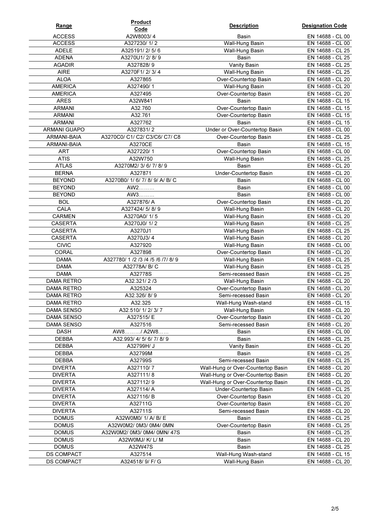| Range                         | <b>Product</b>                                      | <b>Description</b>                     | <b>Designation Code</b>              |
|-------------------------------|-----------------------------------------------------|----------------------------------------|--------------------------------------|
|                               | Code                                                |                                        |                                      |
| <b>ACCESS</b>                 | A2W8003/4                                           | Basin                                  | EN 14688 - CL 00                     |
| <b>ACCESS</b><br><b>ADELE</b> | A327230/1/2<br>A325191/2/5/6                        | Wall-Hung Basin<br>Wall-Hung Basin     | EN 14688 - CL 00<br>EN 14688 - CL 25 |
| <b>ADENA</b>                  | A3270U1/2/8/9                                       | Basin                                  | EN 14688 - CL 25                     |
| <b>AGADIR</b>                 | A327828/9                                           | Vanity Basin                           | EN 14688 - CL 25                     |
| <b>AIRE</b>                   | A3270F1/2/3/4                                       | Wall-Hung Basin                        | EN 14688 - CL 25                     |
| <b>ALOA</b>                   | A327865                                             | Over-Countertop Basin                  | EN 14688 - CL 20                     |
| <b>AMERICA</b>                | A327490/1                                           | Wall-Hung Basin                        | EN 14688 - CL 20                     |
| <b>AMERICA</b>                | A327495                                             | Over-Countertop Basin                  | EN 14688 - CL 20                     |
| <b>ARES</b>                   | A32W841                                             | Basin                                  | EN 14688 - CL 15                     |
| <b>ARMANI</b>                 | A32.760                                             | Over-Countertop Basin                  | EN 14688 - CL 15                     |
| <b>ARMANI</b>                 | A32.761                                             | Over-Countertop Basin                  | EN 14688 - CL 15                     |
| <b>ARMANI</b>                 | A327762                                             | Basin                                  | EN 14688 - CL 15                     |
| ARMANI GUAPO                  | A327831/2                                           | Under or Over-Countertop Basin         | EN 14688 - CL 00                     |
| ARMANI-BAIA                   | A3270C0/ C1/ C2/ C3/C6/ C7/ C8                      | Over-Countertop Basin                  | EN 14688 - CL 25                     |
| ARMANI-BAIA                   | A3270CE                                             | Basin                                  | EN 14688 - CL 15                     |
| <b>ART</b>                    | A327220/1                                           | Over-Countertop Basin                  | EN 14688 - CL 00                     |
| <b>ATIS</b>                   | A32W750                                             | Wall-Hung Basin                        | EN 14688 - CL 25                     |
| <b>ATLAS</b>                  | A3270M2/3/6/7/8/9                                   | <b>Basin</b>                           | EN 14688 - CL 20                     |
| <b>BERNA</b>                  | A327871                                             | Under-Countertop Basin                 | EN 14688 - CL 20                     |
| <b>BEYOND</b>                 | A3270B0/ 1/ 6/ 7/ 8/ 9/ A/ B/ C                     | <b>Basin</b>                           | EN 14688 - CL 00                     |
| <b>BEYOND</b>                 | AW2                                                 | <b>Basin</b>                           | EN 14688 - CL 00                     |
| <b>BEYOND</b>                 | AW3                                                 | Basin                                  | EN 14688 - CL 00                     |
| <b>BOL</b>                    | A327876/A                                           | Over-Countertop Basin                  | EN 14688 - CL 20                     |
| CALA                          | A327424/5/8/9                                       | Wall-Hung Basin                        | EN 14688 - CL 20                     |
| CARMEN                        | A3270A0/1/5                                         | Wall-Hung Basin                        | EN 14688 - CL 20                     |
| <b>CASERTA</b>                | A3270J0/1/2                                         | Wall-Hung Basin                        | EN 14688 - CL 25                     |
| CASERTA                       | A3270J1                                             | Wall-Hung Basin                        | EN 14688 - CL 25                     |
| <b>CASERTA</b>                | A3270J3/4                                           | Wall-Hung Basin                        | EN 14688 - CL 20                     |
| <b>CIVIC</b>                  | A327920                                             | Wall-Hung Basin                        | EN 14688 - CL 00                     |
| <b>CORAL</b>                  | A327898                                             | Over-Countertop Basin                  | EN 14688 - CL 20                     |
| <b>DAMA</b><br><b>DAMA</b>    | A327780/ 1 /2 /3 /4 /5 /6 /7/ 8/ 9<br>A32778A/ B/ C | Wall-Hung Basin                        | EN 14688 - CL 25<br>EN 14688 - CL 25 |
| <b>DAMA</b>                   | A32778S                                             | Wall-Hung Basin<br>Semi-recessed Basin | EN 14688 - CL 25                     |
| DAMA RETRO                    | A32.321/2/3                                         | Wall-Hung Basin                        | EN 14688 - CL 20                     |
| DAMA RETRO                    | A325324                                             | Over-Countertop Basin                  | EN 14688 - CL 20                     |
| <b>DAMA RETRO</b>             | A32.326/8/9                                         | Semi-recessed Basin                    | EN 14688 - CL 20                     |
| DAMA RETRO                    | A32.325                                             | Wall-Hung Wash-stand                   | EN 14688 - CL 15                     |
| DAMA SENSO                    | A32.510/ 1/ 2/ 3/ 7                                 | Wall-Hung Basin                        | EN 14688 - CL 20                     |
| DAMA SENSO                    | A327515/E                                           | Over-Countertop Basin                  | EN 14688 - CL 20                     |
| DAMA SENSO                    | A327516                                             | Semi-recessed Basin                    | EN 14688 - CL 20                     |
| <b>DASH</b>                   | AW8/ A2W8                                           | Basin                                  | EN 14688 - CL 00                     |
| <b>DEBBA</b>                  | A32.993/4/5/6/7/8/9                                 | Basin                                  | EN 14688 - CL 25                     |
| <b>DEBBA</b>                  | A32799H/ J                                          | Vanity Basin                           | EN 14688 - CL 20                     |
| DEBBA                         | A32799M                                             | Basin                                  | EN 14688 - CL 25                     |
| DEBBA                         | A32799S                                             | Semi-recessed Basin                    | EN 14688 - CL 25                     |
| <b>DIVERTA</b>                | A327110/7                                           | Wall-Hung or Over-Countertop Basin     | EN 14688 - CL 20                     |
| <b>DIVERTA</b>                | A327111/8                                           | Wall-Hung or Over-Countertop Basin     | EN 14688 - CL 20                     |
| <b>DIVERTA</b>                | A327112/9                                           | Wall-Hung or Over-Countertop Basin     | EN 14688 - CL 20                     |
| <b>DIVERTA</b>                | A327114/A                                           | Under-Countertop Basin                 | EN 14688 - CL 25                     |
| <b>DIVERTA</b>                | A327116/B                                           | Over-Countertop Basin                  | EN 14688 - CL 20                     |
| <b>DIVERTA</b>                | A32711G                                             | Over-Countertop Basin                  | EN 14688 - CL 20                     |
| <b>DIVERTA</b>                | A32711S                                             | Semi-recessed Basin                    | EN 14688 - CL 20                     |
| <b>DOMUS</b>                  | A32W0M0/ 1/ A/ B/ E                                 | Basin                                  | EN 14688 - CL 25                     |
| <b>DOMUS</b>                  | A32W0M2/ 0M3/ 0M4/ 0MN                              | Over-Countertop Basin                  | EN 14688 - CL 25                     |
| <b>DOMUS</b>                  | A32W0M2/ 0M3/ 0M4/ 0MN/ 47S                         | Basin                                  | EN 14688 - CL 25                     |
| <b>DOMUS</b>                  | A32W0MJ/ K/ L/ M                                    | Basin                                  | EN 14688 - CL 20                     |
| <b>DOMUS</b>                  | A32W47S                                             | <b>Basin</b>                           | EN 14688 - CL 25                     |
| DS COMPACT                    | A327514                                             | Wall-Hung Wash-stand                   | EN 14688 - CL 15                     |
| DS COMPACT                    | A324518/ 9/ F/ G                                    | Wall-Hung Basin                        | EN 14688 - CL 20                     |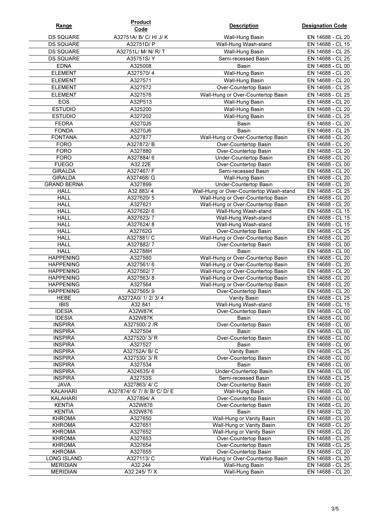| Range                                | <b>Product</b><br>Code       | <b>Description</b>                                                       | <b>Designation Code</b>              |
|--------------------------------------|------------------------------|--------------------------------------------------------------------------|--------------------------------------|
| <b>DS SQUARE</b>                     | A32751A/ B/ C/ H/ J/ K       | Wall-Hung Basin                                                          | EN 14688 - CL 20                     |
| <b>DS SQUARE</b>                     | A32751D/ P                   | Wall-Hung Wash-stand                                                     | EN 14688 - CL 15                     |
| <b>DS SQUARE</b>                     | A32751L/ M/ N/ R/ T          | Wall-Hung Basin                                                          | EN 14688 - CL 25                     |
| <b>DS SQUARE</b>                     | A35751S/Y                    | Semi-recessed Basin                                                      | EN 14688 - CL 25                     |
| <b>EDNA</b>                          | A325008                      | <b>Basin</b>                                                             | EN 14688 - CL 00                     |
| <b>ELEMENT</b>                       | A327570/4                    | Wall-Hung Basin                                                          | EN 14688 - CL 20                     |
| <b>ELEMENT</b>                       | A327571                      | Wall-Hung Basin                                                          | EN 14688 - CL 20                     |
| <b>ELEMENT</b>                       | A327572                      | Over-Countertop Basin                                                    | EN 14688 - CL 25                     |
| <b>ELEMENT</b>                       | A327576                      | Wall-Hung or Over-Countertop Basin                                       | EN 14688 - CL 25                     |
| EOS                                  | A32P513                      | Wall-Hung Basin                                                          | EN 14688 - CL 20                     |
| <b>ESTUDIO</b>                       | A325200                      | Wall-Hung Basin                                                          | EN 14688 - CL 20                     |
| <b>ESTUDIO</b>                       | A327202                      | Wall-Hung Basin                                                          | EN 14688 - CL 25                     |
| <b>FEDRA</b>                         | A3270J5                      | Basin                                                                    | EN 14688 - CL 20                     |
| <b>FONDA</b>                         | A3270J6                      | <b>Basin</b>                                                             | EN 14688 - CL 25                     |
| <b>FONTANA</b>                       | A327877                      | Wall-Hung or Over-Countertop Basin                                       | EN 14688 - CL 20                     |
| <b>FORO</b>                          | A327872/B                    | Over-Countertop Basin                                                    | EN 14688 - CL 20                     |
| <b>FORO</b>                          | A327880                      | Over-Countertop Basin                                                    | EN 14688 - CL 20                     |
| <b>FORO</b>                          | A327884/6                    | <b>Under-Countertop Basin</b>                                            | EN 14688 - CL 20                     |
| <b>FUEGO</b>                         | A32.22E                      | Over-Countertop Basin                                                    | EN 14688 - CL 00                     |
| <b>GIRALDA</b><br><b>GIRALDA</b>     | A327467/F<br>A327468/ G      | Semi-recessed Basin<br>Wall-Hung Basin                                   | EN 14688 - CL 20<br>EN 14688 - CL 20 |
| <b>GRAND BERNA</b>                   | A327899                      | Under-Countertop Basin                                                   | EN 14688 - CL 20                     |
| <b>HALL</b>                          | A32.883/4                    | Wall-Hung or Over-Countertop Wash-stand                                  | EN 14688 - CL 25                     |
| <b>HALL</b>                          | A327620/5                    | Wall-Hung or Over-Countertop Basin                                       | EN 14688 - CL 20                     |
| <b>HALL</b>                          | A327621                      | Wall-Hung or Over-Countertop Basin                                       | EN 14688 - CL 20                     |
| <b>HALL</b>                          | A327622/6                    | Wall-Hung Wash-stand                                                     | EN 14688 - CL 15                     |
| <b>HALL</b>                          | A327623/7                    | Wall-Hung Wash-stand                                                     | EN 14688 - CL 15                     |
| <b>HALL</b>                          | A327624/8                    | Wall-Hung Wash-stand                                                     | EN 14688 - CL 15                     |
| <b>HALL</b>                          | A32762G                      | Over-Countertop Basin                                                    | EN 14688 - CL 25                     |
| <b>HALL</b>                          | A327881/C                    | Wall-Hung or Over-Countertop Basin                                       | EN 14688 - CL 20                     |
| <b>HALL</b>                          | A327882/7                    | Over-Countertop Basin                                                    | EN 14688 - CL 00                     |
| <b>HALL</b>                          | A32788H                      | Basin                                                                    | EN 14688 - CL 00                     |
| <b>HAPPENING</b>                     | A327560                      | Wall-Hung or Over-Countertop Basin                                       | EN 14688 - CL 20                     |
| <b>HAPPENING</b><br><b>HAPPENING</b> | A327561/6<br>A327562/7       | Wall-Hung or Over-Countertop Basin<br>Wall-Hung or Over-Countertop Basin | EN 14688 - CL 20<br>EN 14688 - CL 20 |
| <b>HAPPENING</b>                     | A327563/8                    | Wall-Hung or Over-Countertop Basin                                       | EN 14688 - CL 20                     |
| <b>HAPPENING</b>                     | A327564                      | Wall-Hung or Over-Countertop Basin                                       | EN 14688 - CL 20                     |
| <b>HAPPENING</b>                     | A327565/9                    | Over-Countertop Basin                                                    | EN 14688 - CL 20                     |
| <b>HEBE</b>                          | A3272A0/ 1/ 2/ 3/ 4          | Vanity Basin                                                             | EN 14688 - CL 25                     |
| <b>IBIS</b>                          | A32.841                      | Wall-Hung Wash-stand                                                     | EN 14688 - CL 15                     |
| <b>IDESIA</b>                        | A32W87K                      | Over-Countertop Basin                                                    | EN 14688 - CL 00                     |
| <b>IDESIA</b>                        | A32W87K                      | <b>Basin</b>                                                             | EN 14688 - CL 00                     |
| <b>INSPIRA</b>                       | A327500/2/R                  | Over-Countertop Basin                                                    | EN 14688 - CL 00                     |
| <b>INSPIRA</b>                       | A327504                      | Basin                                                                    | EN 14688 - CL 00                     |
| <b>INSPIRA</b>                       | A327520/3/R                  | Over-Countertop Basin                                                    | EN 14688 - CL 00                     |
| <b>INSPIRA</b>                       | A327527                      | Basin                                                                    | EN 14688 - CL 00                     |
| <b>INSPIRA</b>                       | A32752A/ B/ C                | Vanity Basin<br>Over-Countertop Basin                                    | EN 14688 - CL 25<br>EN 14688 - CL 00 |
| <b>INSPIRA</b><br><b>INSPIRA</b>     | A327530/3/R<br>A327534       | Basin                                                                    | EN 14688 - CL 00                     |
| <b>INSPIRA</b>                       | A324535/6                    | Under-Countertop Basin                                                   | EN 14688 - CL 00                     |
| <b>INSPIRA</b>                       | A32753S                      | Semi-recessed Basin                                                      | EN 14688 - CL 25                     |
| <b>JAVA</b>                          | A327863/4/C                  | Over-Countertop Basin                                                    | EN 14688 - CL 20                     |
| KALAHARI                             | A327874/ 6/ 7/ 8/ B/ C/ D/ E | Wall-Hung Basin                                                          | EN 14688 - CL 00                     |
| KALAHARI                             | A327894/A                    | Over-Countertop Basin                                                    | EN 14688 - CL 00                     |
| <b>KENTIA</b>                        | A32W876                      | Over-Countertop Basin                                                    | EN 14688 - CL 20                     |
| <b>KENTIA</b>                        | A32W876                      | <b>Basin</b>                                                             | EN 14688 - CL 20                     |
| <b>KHROMA</b>                        | A327650                      | Wall-Hung or Vanity Basin                                                | EN 14688 - CL 20                     |
| <b>KHROMA</b>                        | A327651                      | Wall-Hung or Vanity Basin                                                | EN 14688 - CL 20                     |
| <b>KHROMA</b>                        | A327652                      | Wall-Hung or Vanity Basin                                                | EN 14688 - CL 20                     |
| <b>KHROMA</b>                        | A327653                      | Over-Countertop Basin                                                    | EN 14688 - CL 25                     |
| <b>KHROMA</b>                        | A327654                      | Over-Countertop Basin                                                    | EN 14688 - CL 25                     |
| <b>KHROMA</b>                        | A327655                      | Over-Countertop Basin                                                    | EN 14688 - CL 20                     |
| LONG ISLAND<br><b>MERIDIAN</b>       | A327113/ C<br>A32.244        | Wall-Hung or Over-Countertop Basin<br>Wall-Hung Basin                    | EN 14688 - CL 20<br>EN 14688 - CL 25 |
| <b>MERIDIAN</b>                      | A32.245/ T/ X                | Wall-Hung Basin                                                          | EN 14688 - CL 20                     |
|                                      |                              |                                                                          |                                      |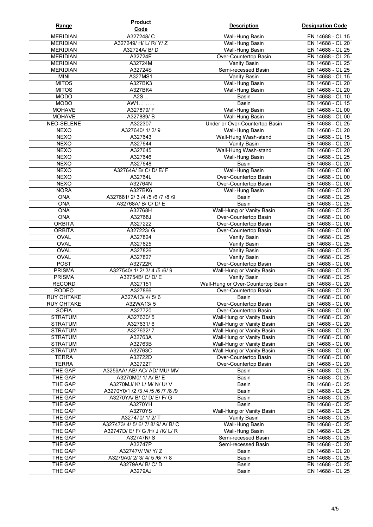| <b>Range</b>                   | <b>Product</b><br>Code                             | <b>Description</b>                                        | <b>Designation Code</b>              |
|--------------------------------|----------------------------------------------------|-----------------------------------------------------------|--------------------------------------|
| <b>MERIDIAN</b>                | A327248/C                                          | Wall-Hung Basin                                           | EN 14688 - CL 15                     |
| <b>MERIDIAN</b>                | A327249/ H/ L/ R/ Y/ Z                             | Wall-Hung Basin                                           | EN 14688 - CL 20                     |
| <b>MERIDIAN</b>                | A32724A/ B/ D                                      | Wall-Hung Basin                                           | EN 14688 - CL 25                     |
| <b>MERIDIAN</b>                | A32724E                                            | Over-Countertop Basin                                     | EN 14688 - CL 25                     |
| <b>MERIDIAN</b>                | A32724M                                            | Vanity Basin                                              | EN 14688 - CL 25                     |
| <b>MERIDIAN</b>                | A32724S                                            | Semi-recessed Basin                                       | EN 14688 - CL 25                     |
| <b>MINI</b>                    | A327MS1                                            | Vanity Basin                                              | EN 14688 - CL 15                     |
| <b>MITOS</b>                   | A327BK3                                            | Wall-Hung Basin                                           | EN 14688 - CL 20                     |
| <b>MITOS</b><br><b>MODO</b>    | A327BK4<br>A2S                                     | Wall-Hung Basin<br>Basin                                  | EN 14688 - CL 20<br>EN 14688 - CL 10 |
| <b>MODO</b>                    | AW1                                                | Basin                                                     | EN 14688 - CL 15                     |
| <b>MOHAVE</b>                  | A327879/F                                          | Wall-Hung Basin                                           | EN 14688 - CL 00                     |
| <b>MOHAVE</b>                  | A327889/B                                          | Wall-Hung Basin                                           | EN 14688 - CL 00                     |
| <b>NEO-SELENE</b>              | A322307                                            | Under or Over-Countertop Basin                            | EN 14688 - CL 25                     |
| <b>NEXO</b>                    | A327640/1/2/9                                      | Wall-Hung Basin                                           | EN 14688 - CL 20                     |
| <b>NEXO</b>                    | A327643                                            | Wall-Hung Wash-stand                                      | EN 14688 - CL 15                     |
| <b>NEXO</b>                    | A327644                                            | Vanity Basin                                              | EN 14688 - CL 20                     |
| <b>NEXO</b>                    | A327645                                            | Wall-Hung Wash-stand                                      | EN 14688 - CL 20                     |
| <b>NEXO</b>                    | A327646                                            | Wall-Hung Basin                                           | EN 14688 - CL 25                     |
| <b>NEXO</b>                    | A327648                                            | <b>Basin</b>                                              | EN 14688 - CL 20                     |
| <b>NEXO</b>                    | A32764A/ B/ C/ D/ E/ F                             | <b>Wall-Hung Basin</b>                                    | EN 14688 - CL 00                     |
| <b>NEXO</b>                    | A32764L                                            | Over-Countertop Basin                                     | EN 14688 - CL 00                     |
| <b>NEXO</b>                    | A32764N                                            | Over-Countertop Basin                                     | EN 14688 - CL 00                     |
| <b>NORA</b><br>ONA             | A327BK6<br>A327681/2/3/4/5/6/7/8/9                 | Wall-Hung Basin                                           | EN 14688 - CL 20<br>EN 14688 - CL 25 |
| <b>ONA</b>                     | A32768A/ B/ C/ D/ E                                | Basin<br>Basin                                            | EN 14688 - CL 25                     |
| ONA                            | A32768H                                            | <b>Wall-Hung or Vanity Basin</b>                          | EN 14688 - CL 25                     |
| <b>ONA</b>                     | A32768J                                            | Over-Countertop Basin                                     | EN 14688 - CL 00                     |
| <b>ORBITA</b>                  | A327222                                            | Over-Countertop Basin                                     | EN 14688 - CL 00                     |
| <b>ORBITA</b>                  | A327223/ G                                         | Over-Countertop Basin                                     | EN 14688 - CL 00                     |
| <b>OVAL</b>                    | A327824                                            | Vanity Basin                                              | EN 14688 - CL 25                     |
| <b>OVAL</b>                    | A327825                                            | Vanity Basin                                              | EN 14688 - CL 25                     |
| <b>OVAL</b>                    | A327826                                            | Vanity Basin                                              | EN 14688 - CL 25                     |
| <b>OVAL</b>                    | A327827                                            | Vanity Basin                                              | EN 14688 - CL 25                     |
| POST                           | A32722R                                            | Over-Countertop Basin                                     | EN 14688 - CL 00                     |
| <b>PRISMA</b>                  | A327540/ 1/ 2/ 3/ 4/5/6/ 9                         | Wall-Hung or Vanity Basin                                 | EN 14688 - CL 25                     |
| <b>PRISMA</b><br><b>RECORD</b> | A32754B/ C/ D/ E<br>A327151                        | <b>Vanity Basin</b><br>Wall-Hung or Over-Countertop Basin | EN 14688 - CL 25<br>EN 14688 - CL 20 |
| <b>RODEO</b>                   | A327866                                            | Over-Countertop Basin                                     | EN 14688 - CL 20                     |
| <b>RUY OHTAKE</b>              | A327A13/4/5/6                                      | <b>Basin</b>                                              | EN 14688 - CL 00                     |
| <b>RUY OHTAKE</b>              | A32WA13/5                                          | Over-Countertop Basin                                     | EN 14688 - CL 00                     |
| <b>SOFIA</b>                   | A327720                                            | Over-Countertop Basin                                     | EN 14688 - CL 00                     |
| <b>STRATUM</b>                 | A327630/5                                          | Wall-Hung or Vanity Basin                                 | EN 14688 - CL 20                     |
| <b>STRATUM</b>                 | A327631/6                                          | Wall-Hung or Vanity Basin                                 | EN 14688 - CL 20                     |
| <b>STRATUM</b>                 | A327632/7                                          | Wall-Hung or Vanity Basin                                 | EN 14688 - CL 20                     |
| <b>STRATUM</b>                 | A32763A                                            | Wall-Hung or Vanity Basin                                 | EN 14688 - CL 00                     |
| <b>STRATUM</b>                 | A32763B                                            | Wall-Hung or Vanity Basin                                 | EN 14688 - CL 00                     |
| <b>STRATUM</b>                 | A32763C                                            | Wall-Hung or Vanity Basin                                 | EN 14688 - CL 00                     |
| <b>TERRA</b>                   | A32722D                                            | Over-Countertop Basin                                     | EN 14688 - CL 00                     |
| <b>TERRA</b>                   | A32722T                                            | Over-Countertop Basin                                     | EN 14688 - CL 20                     |
| THE GAP<br>THE GAP             | A3259AA/ AB/ AC/ AD/ MU/ MV<br>A3270M0/ 1/ A/ B/ E | Basin<br>Basin                                            | EN 14688 - CL 25<br>EN 14688 - CL 25 |
| THE GAP                        | A3270MJ/ K/ L/ M/ N/ U/ V                          | Basin                                                     | EN 14688 - CL 25                     |
| THE GAP                        | A3270Y0/1 /2 /3 /4 /5 /6 /7 /8 /9                  | Basin                                                     | EN 14688 - CL 25                     |
| THE GAP                        | A3270YA/ B/ C/ D/ E/ F/ G                          | Basin                                                     | EN 14688 - CL 25                     |
| THE GAP                        | A3270YH                                            | Basin                                                     | EN 14688 - CL 25                     |
| THE GAP                        | A3270YS                                            | Wall-Hung or Vanity Basin                                 | EN 14688 - CL 25                     |
| THE GAP                        | A327470/1/2/T                                      | Vanity Basin                                              | EN 14688 - CL 25                     |
| THE GAP                        | A327473/4/5/6/7/8/9/A/B/C                          | Wall-Hung Basin                                           | EN 14688 - CL 25                     |
| THE GAP                        | A32747D/ E/ F/ G /H/ J /K/ L/ R                    | Wall-Hung Basin                                           | EN 14688 - CL 25                     |
| THE GAP                        | A32747N/S                                          | Semi-recessed Basin                                       | EN 14688 - CL 25                     |
| THE GAP                        | A32747P                                            | Semi-recessed Basin                                       | EN 14688 - CL 20                     |
| THE GAP                        | A32747V/W/Y/Z                                      | Basin                                                     | EN 14688 - CL 20                     |
| THE GAP                        | A3279A0/2/3/4/5/6/7/8                              | Basin                                                     | EN 14688 - CL 25                     |
| THE GAP                        | A3279AA/ B/ C/ D                                   | Basin                                                     | EN 14688 - CL 25                     |
| THE GAP                        | A3279AJ                                            | Basin                                                     | EN 14688 - CL 25                     |